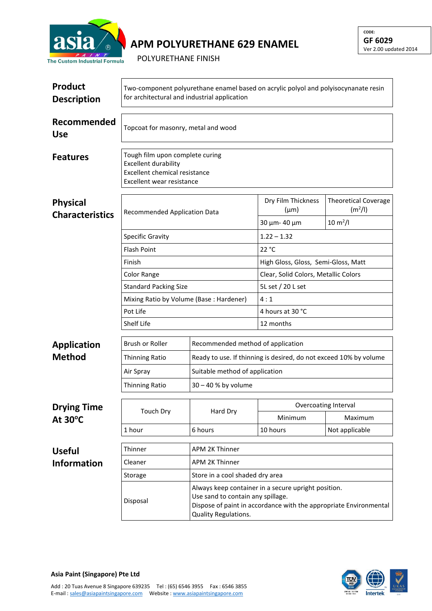

## **APM POLYURETHANE 629 ENAMEL**

POLYURETHANE FINISH

| <b>Product</b><br><b>Description</b> | Two-component polyurethane enamel based on acrylic polyol and polyisocynanate resin<br>for architectural and industrial application |                                                                                                                                                                                       |                                      |                                                    |  |  |
|--------------------------------------|-------------------------------------------------------------------------------------------------------------------------------------|---------------------------------------------------------------------------------------------------------------------------------------------------------------------------------------|--------------------------------------|----------------------------------------------------|--|--|
| Recommended<br><b>Use</b>            | Topcoat for masonry, metal and wood                                                                                                 |                                                                                                                                                                                       |                                      |                                                    |  |  |
| <b>Features</b>                      | Tough film upon complete curing<br><b>Excellent durability</b><br><b>Excellent chemical resistance</b><br>Excellent wear resistance |                                                                                                                                                                                       |                                      |                                                    |  |  |
| <b>Physical</b>                      | Recommended Application Data<br><b>Specific Gravity</b>                                                                             |                                                                                                                                                                                       | Dry Film Thickness<br>$(\mu m)$      | <b>Theoretical Coverage</b><br>(m <sup>2</sup> /I) |  |  |
| <b>Characteristics</b>               |                                                                                                                                     |                                                                                                                                                                                       | 30 µm- 40 µm                         | $10 \, \text{m}^2$ /l                              |  |  |
|                                      |                                                                                                                                     |                                                                                                                                                                                       | $1.22 - 1.32$                        |                                                    |  |  |
|                                      | <b>Flash Point</b>                                                                                                                  |                                                                                                                                                                                       | 22 °C                                |                                                    |  |  |
|                                      | Finish                                                                                                                              |                                                                                                                                                                                       | High Gloss, Gloss, Semi-Gloss, Matt  |                                                    |  |  |
|                                      | Color Range                                                                                                                         |                                                                                                                                                                                       | Clear, Solid Colors, Metallic Colors |                                                    |  |  |
|                                      | <b>Standard Packing Size</b>                                                                                                        |                                                                                                                                                                                       | 5L set / 20 L set                    |                                                    |  |  |
|                                      | Mixing Ratio by Volume (Base: Hardener)                                                                                             |                                                                                                                                                                                       | 4:1                                  |                                                    |  |  |
|                                      | Pot Life                                                                                                                            |                                                                                                                                                                                       | 4 hours at 30 °C                     |                                                    |  |  |
|                                      | Shelf Life                                                                                                                          |                                                                                                                                                                                       | 12 months                            |                                                    |  |  |
| <b>Application</b>                   | Brush or Roller                                                                                                                     |                                                                                                                                                                                       | Recommended method of application    |                                                    |  |  |
| <b>Method</b>                        | <b>Thinning Ratio</b>                                                                                                               | Ready to use. If thinning is desired, do not exceed 10% by volume                                                                                                                     |                                      |                                                    |  |  |
|                                      | Air Spray                                                                                                                           | Suitable method of application                                                                                                                                                        |                                      |                                                    |  |  |
|                                      | <b>Thinning Ratio</b>                                                                                                               | $30 - 40$ % by volume                                                                                                                                                                 |                                      |                                                    |  |  |
| <b>Drying Time</b><br>At 30°C        | <b>Touch Dry</b>                                                                                                                    | Hard Dry                                                                                                                                                                              | Overcoating Interval                 |                                                    |  |  |
|                                      |                                                                                                                                     |                                                                                                                                                                                       | Minimum                              | Maximum                                            |  |  |
|                                      | 1 hour                                                                                                                              | 6 hours                                                                                                                                                                               | 10 hours                             | Not applicable                                     |  |  |
| <b>Useful</b>                        | Thinner                                                                                                                             | <b>APM 2K Thinner</b>                                                                                                                                                                 |                                      |                                                    |  |  |
| <b>Information</b>                   | Cleaner                                                                                                                             | <b>APM 2K Thinner</b>                                                                                                                                                                 |                                      |                                                    |  |  |
|                                      | Storage                                                                                                                             | Store in a cool shaded dry area                                                                                                                                                       |                                      |                                                    |  |  |
|                                      | Disposal                                                                                                                            | Always keep container in a secure upright position.<br>Use sand to contain any spillage.<br>Dispose of paint in accordance with the appropriate Environmental<br>Quality Regulations. |                                      |                                                    |  |  |